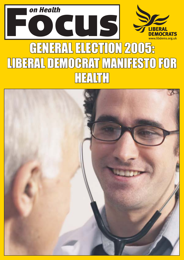

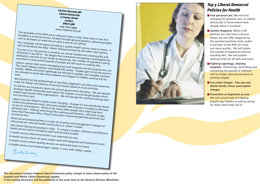*Charles Kennedy MP Liberal Democrats 4 Cowley Street London SW1P 3NB* **020 7222 7999** *www.libdems.org.uk*

The principles of the NHS are as relevant today as they were when it was first<br>founded: a universal service, funded through general taxati.<br>Frace to all based on need net . founded: a universal service, funded through as they were when it was first<br>care to all based on need not on what a person can afford.<br>Our campaign will be about presity to person can afford. Care to all based on need not on what a person can afford.<br>Our campaign will be about providing a quality health service closer to home. It

will not be about the false 'choice' being promoted by the other main parties. To most of us, the priority is whether we can be treated and cured quickly and efficiently if we fall ill. Yet despite the investment now going in and despite the dedication and skill of our health professionals, the number of operations being

cancelled is rising and thousands of people are still stuck on waiting lists. Labour cannot resist micro-managing how local hospitals and GP surgeries are run. The result? Money wasted, local needs left unmet. Targets get hit but the point is missed. MRSA and other superbugs are allowed to spread, and valuable scanners<br>are allowed to stand idle when patients are trapped on bidden until scanners

are allowed to stand idle when patients are trapped on hidden waiting lists for We should trust the professionals to use their judgement and allow the maximum

Strategic Health Authorities and reduce the number of arm local priorities.<br>
inspect and monitor NHS organisations. We number of arms length bodies which<br>
into frontline care. inspect and monitor NHS organisations. We will plough the resultant savings back

Labour has also failed to tackle unfair charging. Charges for eye and dental checks undermine preventive work, and many people with long term conditions still have to pay for prescriptions. Worst of all, many people with long term conditions still personal care – helping with things like washing and dressing need long term<br>more than five years after a Barrior washing and dressing nee personal care – helping with things like washing and dressing – still have to pay,<br>more than five years after a Royal Commission recommended that<br>should be free. more than five years after a Royal Commission recommended that personal care<br>should be free.<br>What we are proposing here is a clear set of policy and management changes for<br>improving our national health service and our nati

What we are proposing here is a clear set of policy and management changes for<br>improving our national health service and our nation's health.<br>The Liberal Democrat purpose is also

The Liberal Democrat purpose is clear. To create a modern, efficient changes for<br>health service which is properly staff and securely funded.<br>A health service where prevent: health service which is properly staff and securely funded.<br>A health service where prevention is as important as cure.

A health service where all waits matter and swift diagnosis and treatment count. A health service where quality services are delivered closer to home. A health service true to Beveridge's ideals, in tune with today's needs.

scope for design and delivery of services locally, based on local priorities. To aid this we would slim down the central government functions. We will abolish

*This document contains Federal Liberal Democrat policy, except in areas where policy of the Scottish and Welsh Liberal Democrats applies.* 

*A full costing document will be published at the same time as the General Election Manifesto.* 



# *Top 5 Liberal Democrat Policies for Health*

- **Free personal care.** We will end charging for personal care, as Liberal Democrats in Government have already done in Scotland.
- **Quicker diagnosis.** When a GP believes you may have a serious illness, we will offer diagnosis by the quickest practical route, public or private, so the NHS can treat you more quickly. We will tackle the scandal of expensive scanners standing idle. We will publish waiting times for all tests and scans.
- **Fighting superbugs, cleaning hospitals.** Preventing, controlling and containing the spread of infection will no longer take second place to political targets.
- **Cut unfair charges free eye and dental checks, fewer prescription charges.**
- **Prevention as important as cure.**  We will concentrate on helping people stay healthy as well as caring for them when they fall ill.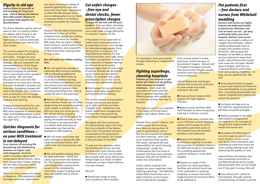## *Dignity in old age*

**Labour broke its promise to end charging for long term care. Liberal Democrats believe that older people deserve to be treated with dignity not discrimination.**

The Prime Minister said he did not want to live in a country where the elderly were forced to sell their homes to pay their care. Eight years on and an estimated 500,000 people have had to sell their homes.

**Your chances of surviving life threatening and debilitating illnesses are higher with swift diagnosis**. However, under successive Labour and Conservative Governments, there have always been hidden waiting lists for tests and scans, which have not even been published.

There are many reasons for delays in diagnosis. Old equipment, staff shortages and poor organisation

The current system for charging for long term care is arbitrary and unfair. Charges for long term care are a tax on frailty and sickness. We will implement the recommendations of the Royal Commission on Long Term Care and end charging for personal care in care homes and in people's own homes. We will meet the cost of free care from the proceeds of our new 50% rate on that part of people's incomes over £100,000. Scrapping charges will mean that people with conditions such as dementia will no longer have to pay for help with feeding, dressing and washing.

Scrapping means-testing for care will help social services and the NHS work together to ensure that older and disabled people receive the right care, in the right place at the right time.

### *Quicker diagnosis for*  serious conditions *so your NHS treatment is not delayed*

● When a GP believes you may have a serious illness, we will offer diagnosis by the quickest practical route, public or private, so the NHS can treat you more quickly. We will do this by including diagnostics in the tariff system for paying for health services, so that if a mutual or private provider can deliver tests and scans at reasonable cost they will be available to NHS patients.

● We will make more tests and scans available in places like GPs' surgeries and pharmacies, and within new one-stop primary care centres.

● We will publish waiting times for tests and scans  $-$  which the Labour government has failed to do. The Healthcare Commission will include these waiting times as part of the standards by which they inspect hospitals and they will publish this to inform patients.

**Charges hit the sick and the poor hardest.** They can deter and delay access to NHS services when early care could make a huge difference to a person's quality of life.

can cause unnecessary delays in patients getting the tests and scans that they need. Equipment is often left idle because there are no radiographers to run them or because there is no funding attached to enable the machines to run.

> A key aspect of our approach to health care is that prevention is as important as cure – but charges for tests discourage people from taking them. A survey by the Royal National Institute for the Blind found that, since 1989, there had been a progressive increase in the proportion of people leaving an interval of up to 5 years between sight tests. A wide range of serious illnesses can be picked up by routine eye and dental checks, for example oral cancer and diabetes. To cut the risk of illness going undetected we will:

Research by the Liberal Democrats found that in two out of five hospital trusts, people are waiting six months or more for routine MRI scans that are used to detect brain tumours, cancers and serious heart conditions, and around 8% of NHS trusts have waiting times of over a year.

> ● End charges for eye and dental checks which deter people from coming forward for testing.

### **We will tackle the hidden waiting lists:**

● We will tackle the scandal of expensive NHS scanners standing idle by allocating additional funding to the NHS locally so it can be invested in training, new working arrangements, and recruitment and retention of key staff needed to operate them, including providing more scans at weekends and in the evenings.

> The current system of prescription charge exemptions was drawn up in 1968 and it has not been changed since. Healthcare and health needs have changed and it is time the rules governing prescription charges changed too.

We agree with the conclusions of a Government report Securing the Future Health of the Nation which said 'The present structure of exemptions for prescription charges is not logical, nor rooted in the principles of the NHS'.

The hygiene crisis in our hospitals is the legacy of Conservative neglect and Labour dither and delay.

● Scrap political targets which hamper the fight against infection.

### *Cut unfair charges - free eye and dental checks, fewer prescription charges*

● Ensure that every hospital sets up an infection control feedback system which pinpoints which specialties and which parts of the hospital have the greatest problems with infections.

● Require an audit of the provision of wash-hand basin facilities and alcohol hand rubs to be undertaken in existing hospitals, to ensure that hand hygiene protocols are more likely to be adhered to.

● Scrap absurd political targets, so your local hospital will have the time and flexibility to put patients first  $-$  providing personalised care, cleaner hospitals and treating the sickest the quickest.

● Cut back red tape such as the need for reporting back to Ministers on political targets.

● Reduce quangos in the NHS and simplify arrangements for inspection, for example by merging the inspectorates for health and social care.

● Complete the NHS plans to recruit at least an extra 8,000 more doctors, 12,000 nurses and 18,000 more therapists and scientists by 2008 than there are now, cutting waiting times and improving the quality of care.

● Give democratic control to local people, through making commissioning of health currently

To give just one example, when the scheme was drawn up most of those with Cystic Fibrosis died as children so it was not included. Now people with cystic fibrosis are living longer as a result of better medicines, so many adult sufferers now pay charges.

#### We will:

● Extend the range of longterm conditions which qualify



for exemption from prescription charges following an independent review.

### *Fighting superbugs, cleaning hospitals*

**Patients go into hospital to get better but often end up getting sicker because of hospital infections.** Every year the equivalent of seven and half district general hospitals are filled by people who picked up an infection during their stay in hospital.

Despite their current rhetoric, the Conservatives did not bring back Matrons during their 18 years in government, and in fact forced hospitals to contract out their cleaning - price was more important than quality. The result: standards fell and responsibility for ward cleaning fragmented. Under the Conservatives the true level of hospital infections was unknown because they did not bother to collect the information.

Under Labour waiting time targets are more important than fighting superbugs. The National Audit Office found that one in eight infection control teams were hindered by managers

from closing wards to tackle infections, mainly because of Government targets. Almost half of hospital managers had said that Government targets caused conflicts with their efforts to control infections.

Liberal Democrats would give doctors and nurses the authority to close wards and tackle infections. We will:

● Require every frontline NHS staff member to have compulsory training in infection control.

● Require the Healthcare Commission urgently to review the provision of isolation rooms in the NHS and produce a timetable for providing appropriate isolation facilities in every NHS hospital.

## *Put patients first ñ free doctors and nurses from Whitehall meddling*

**Doctors and nurses are highly trained and dedicated health professionals. Ministers and civil servants are not - yet they continually bully your local hospital, doctors, and nurses.**  Labour has created a culture of 'targets and tickboxes', where health professionals have to comply with endless central directives, taking away the freedom of the NHS to deliver services tailored to meet local needs. Liberal Democrats would hack away the red tape, abolish absurd targets, and free our frustrated doctors and nurses from demoralising meddling - so they can put patients first. We will:

Liberal Democrats believe that local investment priorities in the NHS should be set by locally elected people who can be kicked out if they get it wrong. We will: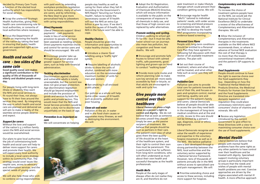decided by Primary Care Trusts a function of the elected local authority which has responsibility for social services.

● Scrap the unelected Strategic Health Authorities, giving their health care commissioning role to local authorities, or consortia of local authorities where necessary.

● Focus the Department of Health on improving the health of the nation by taking the lead in ensuring that public health goals are supported right across government.

### *Health and social care - two sides of the same coin*

Our plans to give local authorities the job of commissioning both health and social care will help to deliver more support for carers and promote their health. We will expect every local authority to include a local carers strategy within its Community Plan. The strategy would cover issues like respite care, access to advocacy and information services, and the special needs of young carers.

**Good quality social care makes a signifi cant contribution to the quality of life of thousands of elderly and disabled people every day.**

We will also help those who wish to combine caring responsibilities

For people living with long-term illness or disability they want the NHS and social services to fit round their lives, not always have to fit their lives around the services they need. By integrating the way in which health and social care are planned and delivered we will aim to make a reality of the seamless service people deserve and expect.

with paid work by extending workplace protection legislation to home workers, many of whom are carers, and by reforming the New Deal to give more personalised help to jobseekers with caring responsibilities.

#### *Support for carers*

Liberal Democrats support 'direct payments' - cash payments made in lieu of social service provision to people who have been assessed as needing services. Direct payments maximise choice and control for service users and should be encouraged. We will:

Without the love and support of the nation's 5.7 million family carers the NHS and social services would be overwhelmed.

● Encourage greater take up through local action plans and greater support for service users, such as help with financial administration.

Discrimination against disabled and vulnerable adults is totally unacceptable, but the current law does not give proper protection. Age discrimination legislation should go beyond employment and include the provision of goods and services by both the public and private sectors. This would mean that the NHS and Social Services providers would be under a duty not to discriminate unjustifiably on the basis of age.

● Introduce a clearer food labelling using a 'traffic light' system.

#### ● Ban smoking in all enclosed public places.

Our policies as a whole will help tackle other causes of ill health such as poverty, pollution and poor housing.

#### *Direct Payments*

● Adopt the EU Registration, Evaluation and Authorisation of Chemicals (REACH) Directive, which will ensure information is available to the public on the consequences of exposure to all chemicals in daily use, and that those of high concern are replaced by safer alternatives.

#### *Tackling discrimination*

● Provide more cycle routes and reform planning rules to make sure key services are more easily accessible by foot or bicycle, so that adults are encouraged to walk and cycle too.

### *Prevention is as important as cure*

We will concentrate on helping

● Encourage regular health "MoTs" tailored to individual patients' needs, with wider access to screening and blood pressure and cholesterol tests. We will ask NICE to develop the health MoT programme incorporating evidence-based screening.

people stay healthy as well as caring for them when they fall ill. According to the Government's NHS Report 'Securing our Future Health', failure to tackle the unnecessary causes of ill health will cost the NHS an extra £30 billion a year by 2022. If we don't tackle the causes of ill-health, the NHS in the future won't be able to cope.

> ● Set out their course of treatment, where and when they will be treated, and what other help such as social care they will receive.

#### *Healthy Choices*

People should be given the information and opportunities to make healthy choices. We will:

·

·● Require labelling of alcoholic drinks to show the units of alcohol, combined with more education on the recommended maximum number of units for men and women.

#### *Clean air and water*

Pollution in the air, in water and in the food chain causes or aggravates many illnesses, as well as destroying the environment. We will:



● Allow the inclusion of Complementary and Alternative therapies in the treatments available on the NHS where NICE recommends them, or where in advance of formal NICE evaluation the cost of that therapy is no more than the lowest conventional treatment offered and the patient's GP supports its use.

#### *Promote walking and cycling.*

● Review any legislation introduced by the current Government to give effect to these Directives with a view to maximising consumer choice over the use of food supplements.

Children walking to school get fit for life  $-$  but it must be safe. Fewer school-run car journeys also mean less pollution, less congestion and fewer road deaths. We will:

● Encourage and promote Safe Routes to School with calmed traffic, safe pavements, good lighting and grown-ups on hand to conduct "walking buses".

### *Give people more control over their healthcare*

**Liberal Democrats place a high value on a person's right to control and dignity.** We do not believe that as soon as someone becomes unwell they should simply be seen as the passive recipient of treatment. We believe that people should be seen as partners in their care. The patient's own view of what gives them the best quality of life should be at the heart of the healthcare system, and their right to control their own lives must be paramount. This is particularly true for sufferers from long-term conditions, who will often understand as much about their own health and successful therapies as the health professionals.

#### *Health MoTs*

People at the early stages of disease often do not realise they are ill, and therefore do not

seek treatment or make lifestyle changes which could prevent their condition getting worse. We will:

#### *Personal Care Plans*

People with long-term conditions should be entitled to a Personal Care Plan they have agreed to following full discussion with their doctor of all available treatment options. The plan will:

#### *Palliative Care*

Palliative care aims to provide total care for patients towards the end of their life, and focuses on pain and symptom control, mental well-being, quality care and support for the patient's family and carers. Liberal Democrats believe all people should be able to access the care they need both in the management of long-term medical conditions and at the end of life. Access to this care should not be limited by a person's age, diagnosis, social or ethnic background.

Liberal Democrats recognise and value the wealth of experience and expertise in the voluntary hospice movement as well as in the NHS. We believe palliative care is best developed through a strong partnership between the NHS, local authorities and the voluntary sector supported by a National Service Framework. However, tens of thousands of patients annually die in the NHS without access to specialised care and pain management. We will:

● Prioritise extending choice and access to these services, including more support for hospices.

### *Complementary and Alternative Therapies*

To increase the choice of treatment options people have on the NHS, we would ask the National Institute for Clinical Excellence (NICE) to undertake a review of the effectiveness of Complementary and Alternative therapies. We will:

#### *Food Supplements*

People should continue to have the right to exercise choice over the food supplements they buy. Depending on how the Traditional Herbal Medicinal Products Directive, the Medicinal Products for Human Use Directive and the Food Supplements Directive are translated into domestic legislation and regulation they could place unnecessary restrictions upon consumers' choice of vitamins and minerals. We will:

### *Mental Health*

Liberal Democrats believe that people with mental health problems have the same rights as any other patients to have control over their healthcare and be treated with dignity. Specialised support involving voluntary groups is particularly important to ensure that the needs and wishes of people with mental health problems are met. Coercive approaches are driven by the stigma associated with mental ill health. A more effective approach